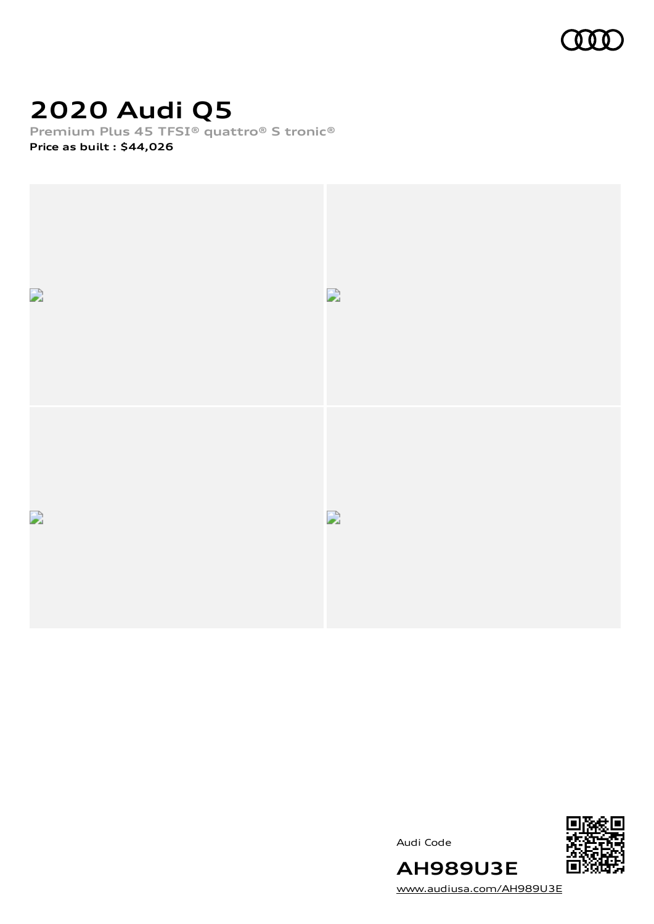

# **2020 Audi Q5**

**Premium Plus 45 TFSI® quattro® S tronic®**

**Price as built [:](#page-8-0) \$44,026**



Audi Code



[www.audiusa.com/AH989U3E](https://www.audiusa.com/AH989U3E)

**AH989U3E**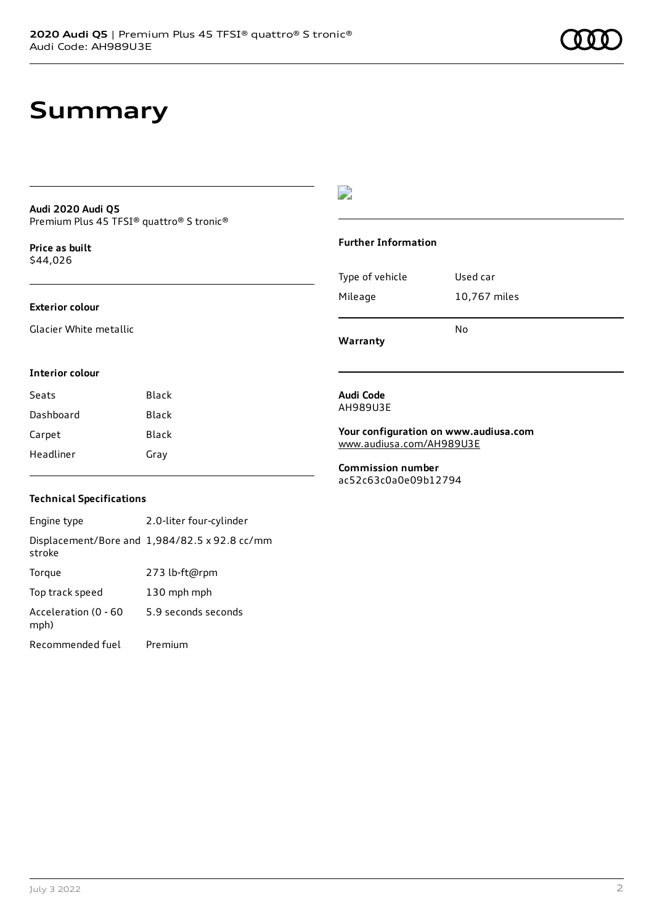# **Summary**

#### **Audi 2020 Audi Q5** Premium Plus 45 TFSI® quattro® S tronic®

**Price as buil[t](#page-8-0)** \$44,026

#### **Exterior colour**

Glacier White metallic

### D

#### **Further Information**

| Type of vehicle | Used car     |
|-----------------|--------------|
| Mileage         | 10,767 miles |
|                 | No           |

**Warranty**

#### **Interior colour**

| Seats     | Black |
|-----------|-------|
| Dashboard | Black |
| Carpet    | Black |
| Headliner | Gray  |

#### **Audi Code** AH989U3E

**Your configuration on www.audiusa.com** [www.audiusa.com/AH989U3E](https://www.audiusa.com/AH989U3E)

**Commission number** ac52c63c0a0e09b12794

#### **Technical Specifications**

Engine type 2.0-liter four-cylinder Displacement/Bore and 1,984/82.5 x 92.8 cc/mm stroke Torque 273 lb-ft@rpm Top track speed 130 mph mph Acceleration (0 - 60 mph) 5.9 seconds seconds Recommended fuel Premium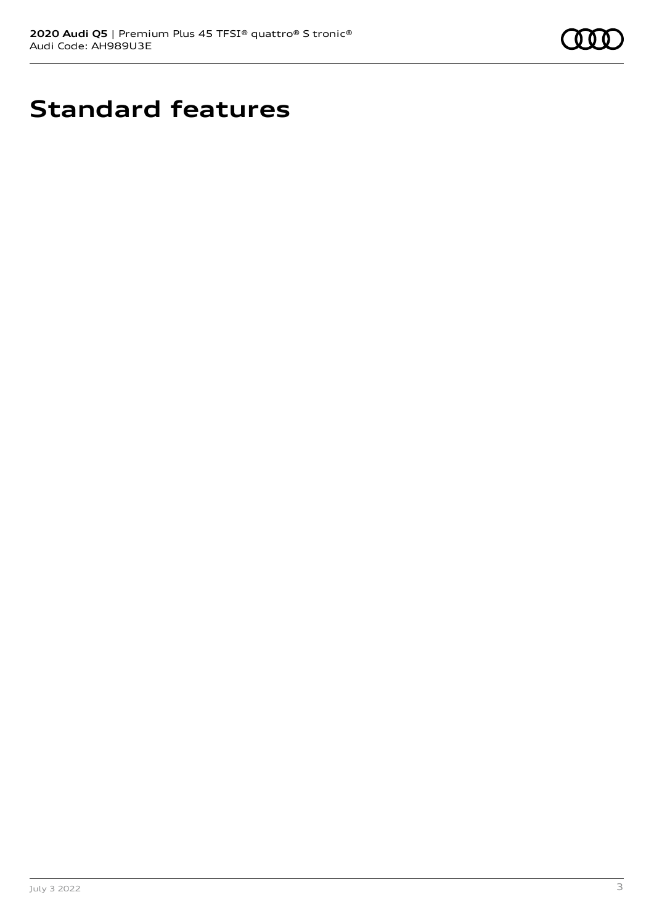

# **Standard features**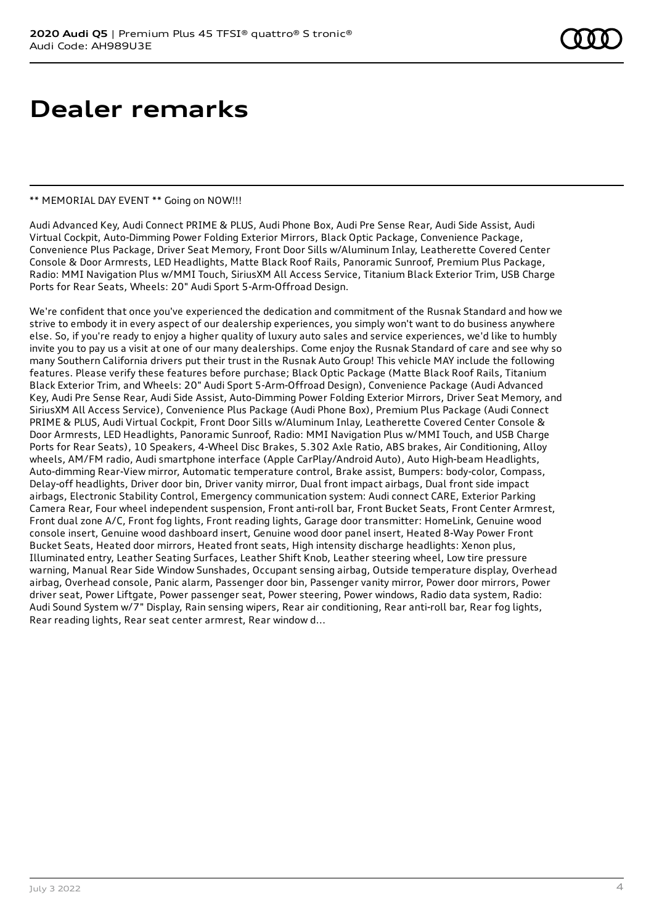# **Dealer remarks**

#### \*\* MEMORIAL DAY EVENT \*\* Going on NOW!!!

Audi Advanced Key, Audi Connect PRIME & PLUS, Audi Phone Box, Audi Pre Sense Rear, Audi Side Assist, Audi Virtual Cockpit, Auto-Dimming Power Folding Exterior Mirrors, Black Optic Package, Convenience Package, Convenience Plus Package, Driver Seat Memory, Front Door Sills w/Aluminum Inlay, Leatherette Covered Center Console & Door Armrests, LED Headlights, Matte Black Roof Rails, Panoramic Sunroof, Premium Plus Package, Radio: MMI Navigation Plus w/MMI Touch, SiriusXM All Access Service, Titanium Black Exterior Trim, USB Charge Ports for Rear Seats, Wheels: 20" Audi Sport 5-Arm-Offroad Design.

We're confident that once you've experienced the dedication and commitment of the Rusnak Standard and how we strive to embody it in every aspect of our dealership experiences, you simply won't want to do business anywhere else. So, if you're ready to enjoy a higher quality of luxury auto sales and service experiences, we'd like to humbly invite you to pay us a visit at one of our many dealerships. Come enjoy the Rusnak Standard of care and see why so many Southern California drivers put their trust in the Rusnak Auto Group! This vehicle MAY include the following features. Please verify these features before purchase; Black Optic Package (Matte Black Roof Rails, Titanium Black Exterior Trim, and Wheels: 20" Audi Sport 5-Arm-Offroad Design), Convenience Package (Audi Advanced Key, Audi Pre Sense Rear, Audi Side Assist, Auto-Dimming Power Folding Exterior Mirrors, Driver Seat Memory, and SiriusXM All Access Service), Convenience Plus Package (Audi Phone Box), Premium Plus Package (Audi Connect PRIME & PLUS, Audi Virtual Cockpit, Front Door Sills w/Aluminum Inlay, Leatherette Covered Center Console & Door Armrests, LED Headlights, Panoramic Sunroof, Radio: MMI Navigation Plus w/MMI Touch, and USB Charge Ports for Rear Seats), 10 Speakers, 4-Wheel Disc Brakes, 5.302 Axle Ratio, ABS brakes, Air Conditioning, Alloy wheels, AM/FM radio, Audi smartphone interface (Apple CarPlay/Android Auto), Auto High-beam Headlights, Auto-dimming Rear-View mirror, Automatic temperature control, Brake assist, Bumpers: body-color, Compass, Delay-off headlights, Driver door bin, Driver vanity mirror, Dual front impact airbags, Dual front side impact airbags, Electronic Stability Control, Emergency communication system: Audi connect CARE, Exterior Parking Camera Rear, Four wheel independent suspension, Front anti-roll bar, Front Bucket Seats, Front Center Armrest, Front dual zone A/C, Front fog lights, Front reading lights, Garage door transmitter: HomeLink, Genuine wood console insert, Genuine wood dashboard insert, Genuine wood door panel insert, Heated 8-Way Power Front Bucket Seats, Heated door mirrors, Heated front seats, High intensity discharge headlights: Xenon plus, Illuminated entry, Leather Seating Surfaces, Leather Shift Knob, Leather steering wheel, Low tire pressure warning, Manual Rear Side Window Sunshades, Occupant sensing airbag, Outside temperature display, Overhead airbag, Overhead console, Panic alarm, Passenger door bin, Passenger vanity mirror, Power door mirrors, Power driver seat, Power Liftgate, Power passenger seat, Power steering, Power windows, Radio data system, Radio: Audi Sound System w/7" Display, Rain sensing wipers, Rear air conditioning, Rear anti-roll bar, Rear fog lights, Rear reading lights, Rear seat center armrest, Rear window d...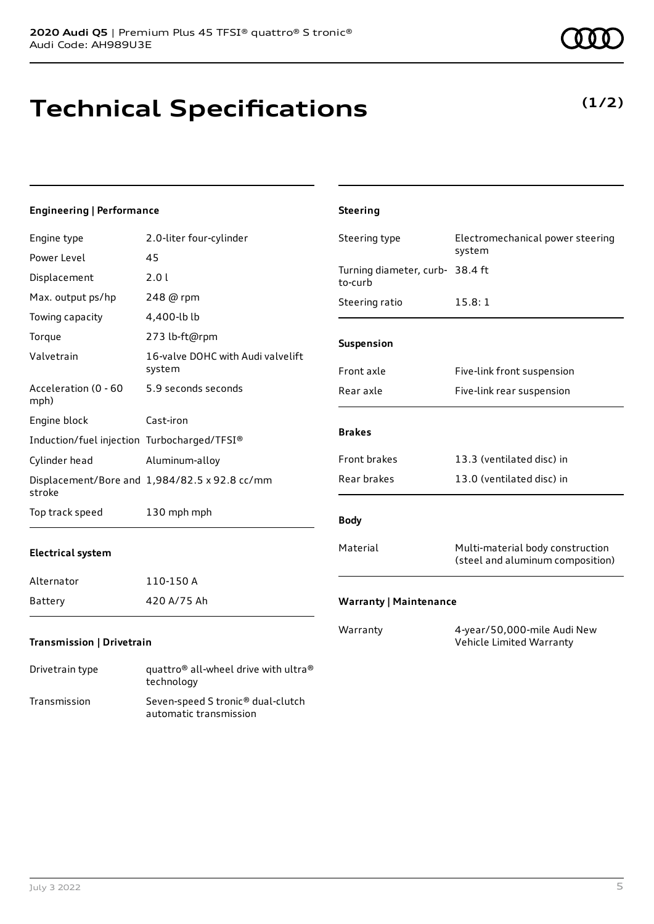# **Technical Specifications**

technology Transmission Seven-speed S tronic® dual-clutch

automatic transmission

### **Engineering | Performance**

| Engine type                                 | 2.0-liter four-cylinder                                      | Steering type                              | Electromechanical power steering                                     |
|---------------------------------------------|--------------------------------------------------------------|--------------------------------------------|----------------------------------------------------------------------|
| Power Level                                 | 45                                                           |                                            | system                                                               |
| Displacement                                | 2.0 l                                                        | Turning diameter, curb- 38.4 ft<br>to-curb |                                                                      |
| Max. output ps/hp                           | 248 @ rpm                                                    | Steering ratio                             | 15.8:1                                                               |
| Towing capacity                             | 4,400-lb lb                                                  |                                            |                                                                      |
| Torque                                      | 273 lb-ft@rpm                                                | Suspension                                 |                                                                      |
| Valvetrain                                  | 16-valve DOHC with Audi valvelift<br>system                  | Front axle                                 | Five-link front suspension                                           |
| Acceleration (0 - 60<br>mph)                | 5.9 seconds seconds                                          | Rear axle                                  | Five-link rear suspension                                            |
| Engine block                                | Cast-iron                                                    |                                            |                                                                      |
| Induction/fuel injection Turbocharged/TFSI® |                                                              | <b>Brakes</b>                              |                                                                      |
| Cylinder head                               | Aluminum-alloy                                               | Front brakes                               | 13.3 (ventilated disc) in                                            |
| stroke                                      | Displacement/Bore and 1,984/82.5 x 92.8 cc/mm                | Rear brakes                                | 13.0 (ventilated disc) in                                            |
| Top track speed                             | 130 mph mph                                                  | <b>Body</b>                                |                                                                      |
| <b>Electrical system</b>                    |                                                              | Material                                   | Multi-material body construction<br>(steel and aluminum composition) |
| Alternator                                  | 110-150 A                                                    |                                            |                                                                      |
| <b>Battery</b>                              | 420 A/75 Ah                                                  | <b>Warranty   Maintenance</b>              |                                                                      |
| <b>Transmission   Drivetrain</b>            |                                                              | Warranty                                   | 4-year/50,000-mile Audi New<br>Vehicle Limited Warranty              |
| Drivetrain type                             | quattro <sup>®</sup> all-wheel drive with ultra <sup>®</sup> |                                            |                                                                      |

**Steering**

**(1/2)**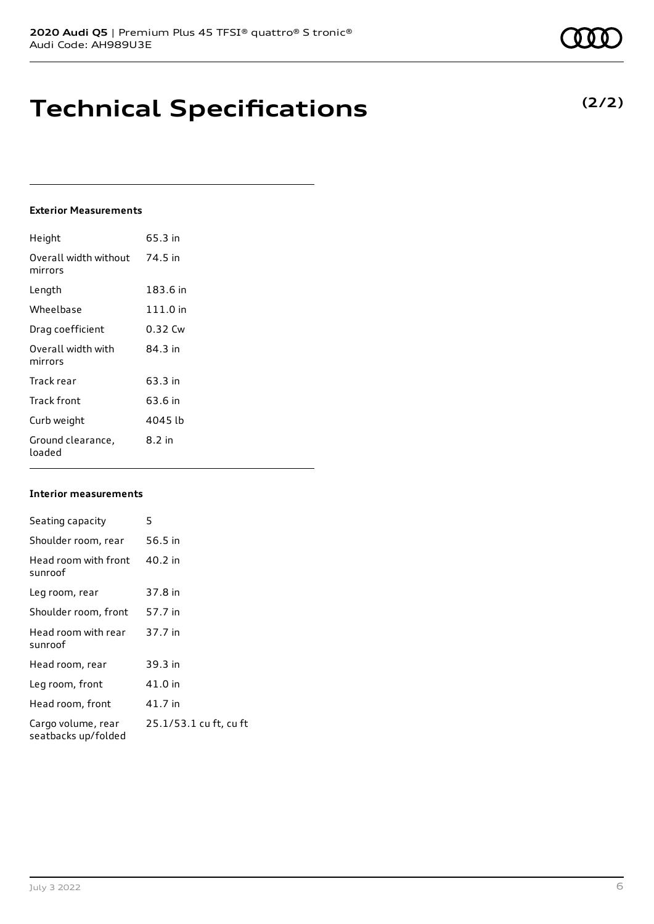# **Technical Specifications**

### **Exterior Measurements**

| Height                           | 65.3 in  |
|----------------------------------|----------|
| Overall width without<br>mirrors | 74.5 in  |
| Length                           | 183.6 in |
| Wheelbase                        | 111.0 in |
| Drag coefficient                 | 0.32 Cw  |
| Overall width with<br>mirrors    | 84.3 in  |
| Track rear                       | 63.3 in  |
| Track front                      | 63.6 in  |
| Curb weight                      | 4045 lb  |
| Ground clearance,<br>loaded      | $8.2$ in |

### **Interior measurements**

| Seating capacity                          | 5                      |
|-------------------------------------------|------------------------|
| Shoulder room, rear                       | 56.5 in                |
| Head room with front<br>sunroof           | 40.2 in                |
| Leg room, rear                            | 37.8 in                |
| Shoulder room, front                      | 57.7 in                |
| Head room with rear<br>sunroof            | 37.7 in                |
| Head room, rear                           | 39.3 in                |
| Leg room, front                           | 41.0 in                |
| Head room, front                          | 41.7 in                |
| Cargo volume, rear<br>seatbacks up/folded | 25.1/53.1 cu ft, cu ft |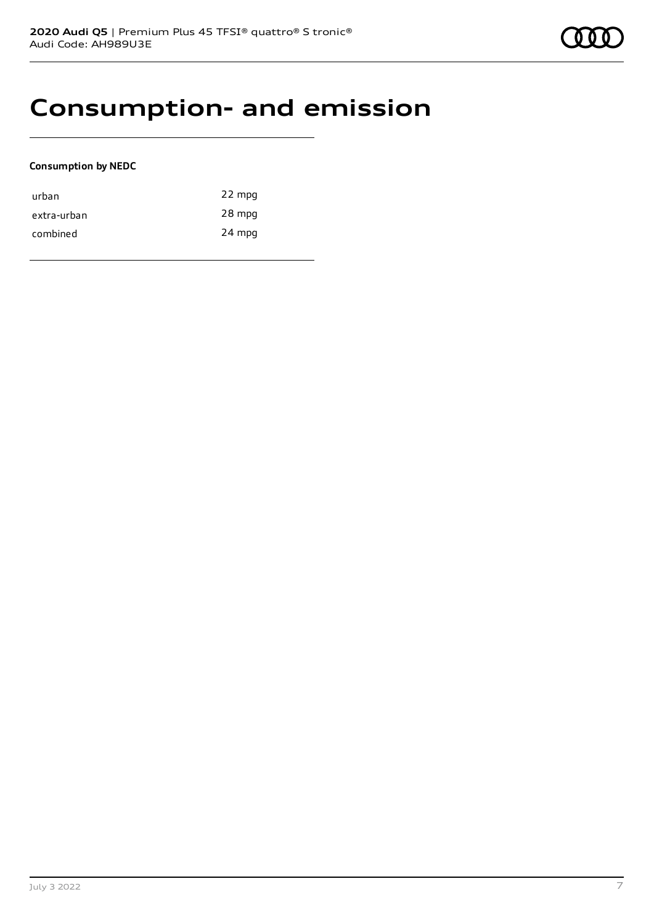### **Consumption- and emission**

#### **Consumption by NEDC**

| urban       | 22 mpg |
|-------------|--------|
| extra-urban | 28 mpg |
| combined    | 24 mpg |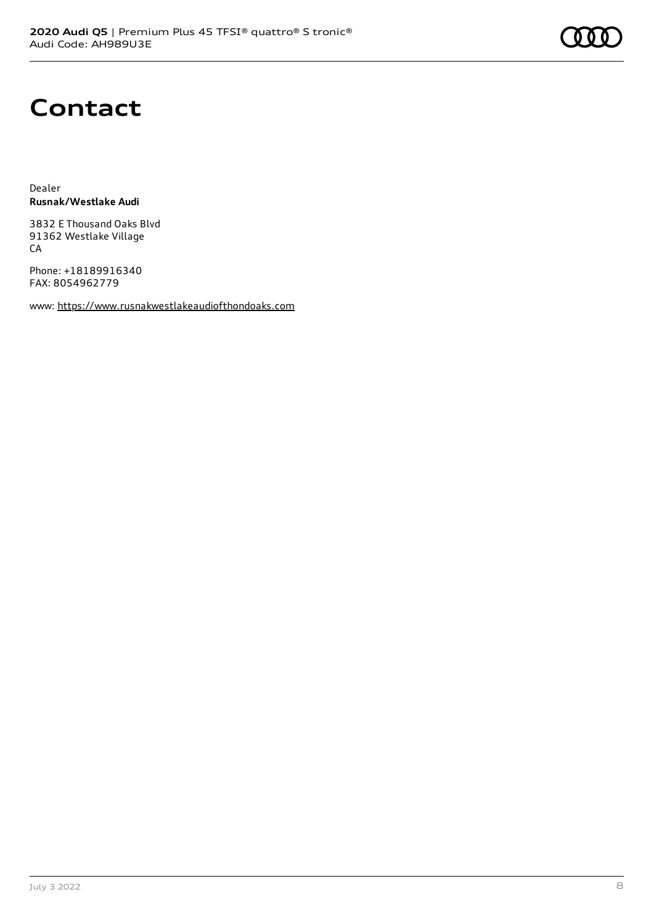# **Contact**

Dealer **Rusnak/Westlake Audi**

3832 E Thousand Oaks Blvd 91362 Westlake Village CA

Phone: +18189916340 FAX: 8054962779

www: [https://www.rusnakwestlakeaudiofthondoaks.com](https://www.rusnakwestlakeaudiofthondoaks.com/)